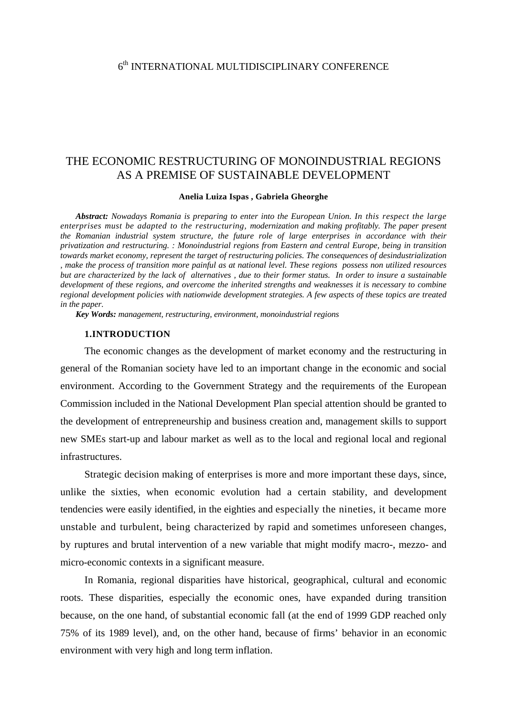## 6th INTERNATIONAL MULTIDISCIPLINARY CONFERENCE

# THE ECONOMIC RESTRUCTURING OF MONOINDUSTRIAL REGIONS AS A PREMISE OF SUSTAINABLE DEVELOPMENT

#### **Anelia Luiza Ispas , Gabriela Gheorghe**

*Abstract: Nowadays Romania is preparing to enter into the European Union. In this respect the large enterprises must be adapted to the restructuring, modernization and making profitably. The paper present the Romanian industrial system structure, the future role of large enterprises in accordance with their privatization and restructuring. : Monoindustrial regions from Eastern and central Europe, being in transition towards market economy, represent the target of restructuring policies. The consequences of desindustrialization , make the process of transition more painful as at national level. These regions possess non utilized resources but are characterized by the lack of alternatives , due to their former status. In order to insure a sustainable development of these regions, and overcome the inherited strengths and weaknesses it is necessary to combine regional development policies with nationwide development strategies. A few aspects of these topics are treated in the paper.* 

*Key Words: management, restructuring, environment, monoindustrial regions* 

## **1.INTRODUCTION**

The economic changes as the development of market economy and the restructuring in general of the Romanian society have led to an important change in the economic and social environment. According to the Government Strategy and the requirements of the European Commission included in the National Development Plan special attention should be granted to the development of entrepreneurship and business creation and, management skills to support new SMEs start-up and labour market as well as to the local and regional local and regional infrastructures.

Strategic decision making of enterprises is more and more important these days, since, unlike the sixties, when economic evolution had a certain stability, and development tendencies were easily identified, in the eighties and especially the nineties, it became more unstable and turbulent, being characterized by rapid and sometimes unforeseen changes, by ruptures and brutal intervention of a new variable that might modify macro-, mezzo- and micro-economic contexts in a significant measure.

In Romania, regional disparities have historical, geographical, cultural and economic roots. These disparities, especially the economic ones, have expanded during transition because, on the one hand, of substantial economic fall (at the end of 1999 GDP reached only 75% of its 1989 level), and, on the other hand, because of firms' behavior in an economic environment with very high and long term inflation.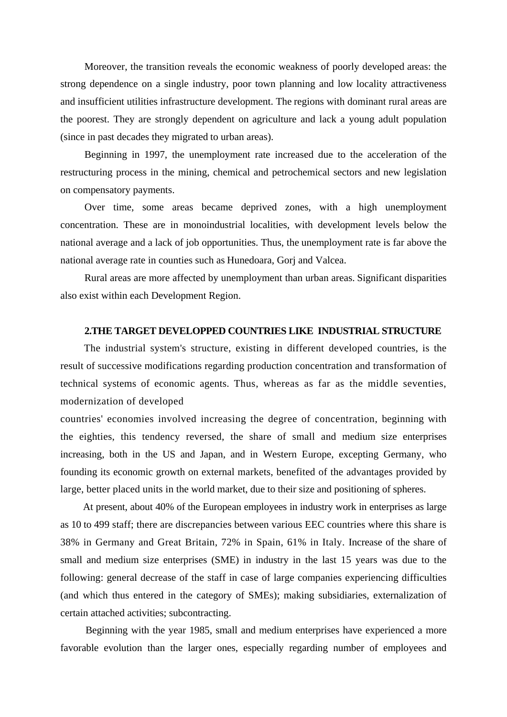Moreover, the transition reveals the economic weakness of poorly developed areas: the strong dependence on a single industry, poor town planning and low locality attractiveness and insufficient utilities infrastructure development. The regions with dominant rural areas are the poorest. They are strongly dependent on agriculture and lack a young adult population (since in past decades they migrated to urban areas).

Beginning in 1997, the unemployment rate increased due to the acceleration of the restructuring process in the mining, chemical and petrochemical sectors and new legislation on compensatory payments.

Over time, some areas became deprived zones, with a high unemployment concentration. These are in monoindustrial localities, with development levels below the national average and a lack of job opportunities. Thus, the unemployment rate is far above the national average rate in counties such as Hunedoara, Gorj and Valcea.

Rural areas are more affected by unemployment than urban areas. Significant disparities also exist within each Development Region.

## **2.THE TARGET DEVELOPPED COUNTRIES LIKE INDUSTRIAL STRUCTURE**

The industrial system's structure, existing in different developed countries, is the result of successive modifications regarding production concentration and transformation of technical systems of economic agents. Thus, whereas as far as the middle seventies, modernization of developed

countries' economies involved increasing the degree of concentration, beginning with the eighties, this tendency reversed, the share of small and medium size enterprises increasing, both in the US and Japan, and in Western Europe, excepting Germany, who founding its economic growth on external markets, benefited of the advantages provided by large, better placed units in the world market, due to their size and positioning of spheres.

At present, about 40% of the European employees in industry work in enterprises as large as 10 to 499 staff; there are discrepancies between various EEC countries where this share is 38% in Germany and Great Britain, 72% in Spain, 61% in Italy. Increase of the share of small and medium size enterprises (SME) in industry in the last 15 years was due to the following: general decrease of the staff in case of large companies experiencing difficulties (and which thus entered in the category of SMEs); making subsidiaries, externalization of certain attached activities; subcontracting.

 Beginning with the year 1985, small and medium enterprises have experienced a more favorable evolution than the larger ones, especially regarding number of employees and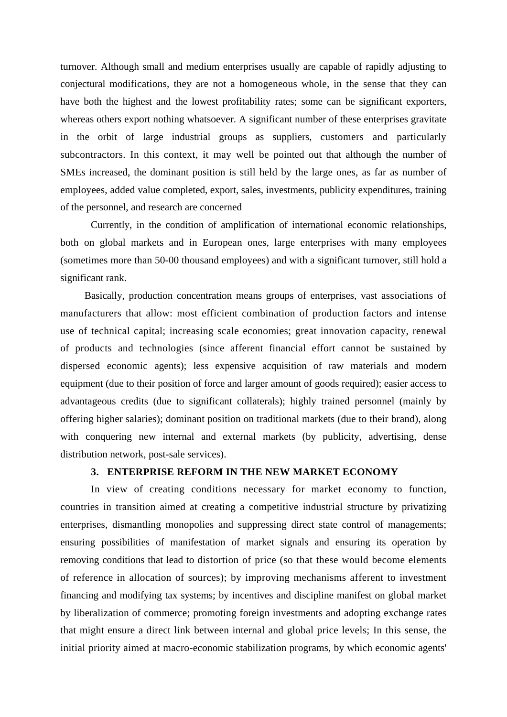turnover. Although small and medium enterprises usually are capable of rapidly adjusting to conjectural modifications, they are not a homogeneous whole, in the sense that they can have both the highest and the lowest profitability rates; some can be significant exporters, whereas others export nothing whatsoever. A significant number of these enterprises gravitate in the orbit of large industrial groups as suppliers, customers and particularly subcontractors. In this context, it may well be pointed out that although the number of SMEs increased, the dominant position is still held by the large ones, as far as number of employees, added value completed, export, sales, investments, publicity expenditures, training of the personnel, and research are concerned

Currently, in the condition of amplification of international economic relationships, both on global markets and in European ones, large enterprises with many employees (sometimes more than 50-00 thousand employees) and with a significant turnover, still hold a significant rank.

Basically, production concentration means groups of enterprises, vast associations of manufacturers that allow: most efficient combination of production factors and intense use of technical capital; increasing scale economies; great innovation capacity, renewal of products and technologies (since afferent financial effort cannot be sustained by dispersed economic agents); less expensive acquisition of raw materials and modern equipment (due to their position of force and larger amount of goods required); easier access to advantageous credits (due to significant collaterals); highly trained personnel (mainly by offering higher salaries); dominant position on traditional markets (due to their brand), along with conquering new internal and external markets (by publicity, advertising, dense distribution network, post-sale services).

## **3. ENTERPRISE REFORM IN THE NEW MARKET ECONOMY**

In view of creating conditions necessary for market economy to function, countries in transition aimed at creating a competitive industrial structure by privatizing enterprises, dismantling monopolies and suppressing direct state control of managements; ensuring possibilities of manifestation of market signals and ensuring its operation by removing conditions that lead to distortion of price (so that these would become elements of reference in allocation of sources); by improving mechanisms afferent to investment financing and modifying tax systems; by incentives and discipline manifest on global market by liberalization of commerce; promoting foreign investments and adopting exchange rates that might ensure a direct link between internal and global price levels; In this sense, the initial priority aimed at macro-economic stabilization programs, by which economic agents'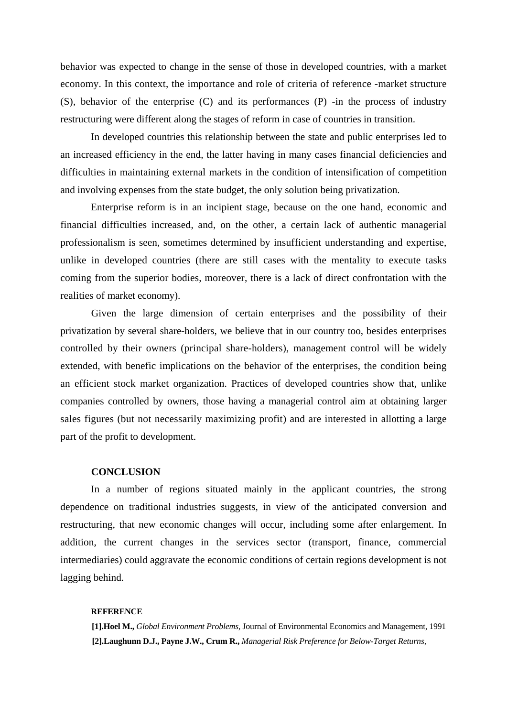behavior was expected to change in the sense of those in developed countries, with a market economy. In this context, the importance and role of criteria of reference -market structure (S), behavior of the enterprise (C) and its performances (P) -in the process of industry restructuring were different along the stages of reform in case of countries in transition.

In developed countries this relationship between the state and public enterprises led to an increased efficiency in the end, the latter having in many cases financial deficiencies and difficulties in maintaining external markets in the condition of intensification of competition and involving expenses from the state budget, the only solution being privatization.

Enterprise reform is in an incipient stage, because on the one hand, economic and financial difficulties increased, and, on the other, a certain lack of authentic managerial professionalism is seen, sometimes determined by insufficient understanding and expertise, unlike in developed countries (there are still cases with the mentality to execute tasks coming from the superior bodies, moreover, there is a lack of direct confrontation with the realities of market economy).

Given the large dimension of certain enterprises and the possibility of their privatization by several share-holders, we believe that in our country too, besides enterprises controlled by their owners (principal share-holders), management control will be widely extended, with benefic implications on the behavior of the enterprises, the condition being an efficient stock market organization. Practices of developed countries show that, unlike companies controlled by owners, those having a managerial control aim at obtaining larger sales figures (but not necessarily maximizing profit) and are interested in allotting a large part of the profit to development.

#### **CONCLUSION**

In a number of regions situated mainly in the applicant countries, the strong dependence on traditional industries suggests, in view of the anticipated conversion and restructuring, that new economic changes will occur, including some after enlargement. In addition, the current changes in the services sector (transport, finance, commercial intermediaries) could aggravate the economic conditions of certain regions development is not lagging behind.

#### **REFERENCE**

**[1].Hoel M.,** *Global Environment Problems,* Journal of Environmental Economics and Management, 1991 **[2].Laughunn D.J., Payne J.W., Crum R.,** *Managerial Risk Preference for Below-Target Returns,*